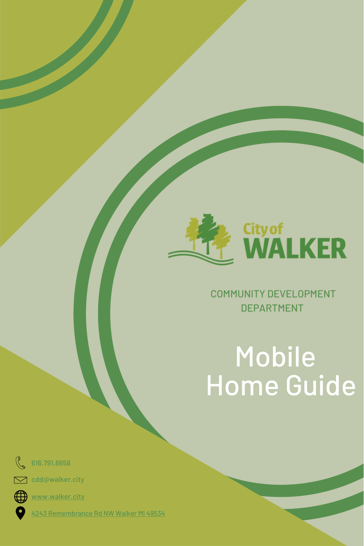

### COMMUNITY DEVELOPMENT DEPARTMENT

# Mobile Home Guide



cdd@walker.city



 $\sum$ 

[www.walker.city](http://www.walker.city/)

4243 [Remembrance](https://goo.gl/maps/5QHzHVERV2wh6oY57) Rd NW Walker MI 49534